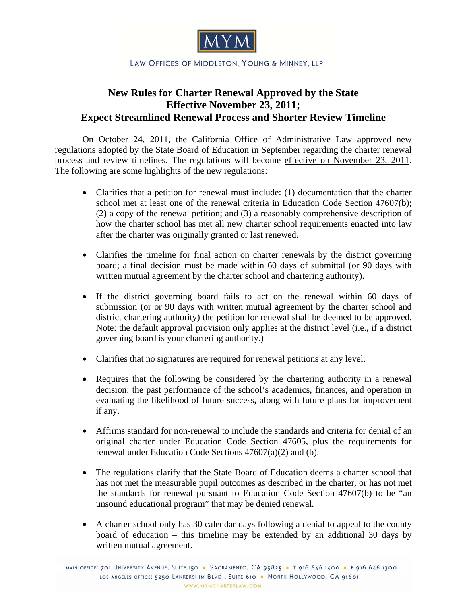

## **New Rules for Charter Renewal Approved by the State Effective November 23, 2011; Expect Streamlined Renewal Process and Shorter Review Timeline**

 On October 24, 2011, the California Office of Administrative Law approved new regulations adopted by the State Board of Education in September regarding the charter renewal process and review timelines. The regulations will become effective on November 23, 2011. The following are some highlights of the new regulations:

- Clarifies that a petition for renewal must include: (1) documentation that the charter school met at least one of the renewal criteria in Education Code Section 47607(b); (2) a copy of the renewal petition; and (3) a reasonably comprehensive description of how the charter school has met all new charter school requirements enacted into law after the charter was originally granted or last renewed.
- Clarifies the timeline for final action on charter renewals by the district governing board; a final decision must be made within 60 days of submittal (or 90 days with written mutual agreement by the charter school and chartering authority).
- If the district governing board fails to act on the renewal within 60 days of submission (or or 90 days with written mutual agreement by the charter school and district chartering authority) the petition for renewal shall be deemed to be approved. Note: the default approval provision only applies at the district level (i.e., if a district governing board is your chartering authority.)
- Clarifies that no signatures are required for renewal petitions at any level.
- Requires that the following be considered by the chartering authority in a renewal decision: the past performance of the school's academics, finances, and operation in evaluating the likelihood of future success**,** along with future plans for improvement if any.
- Affirms standard for non-renewal to include the standards and criteria for denial of an original charter under Education Code Section 47605, plus the requirements for renewal under Education Code Sections 47607(a)(2) and (b).
- The regulations clarify that the State Board of Education deems a charter school that has not met the measurable pupil outcomes as described in the charter, or has not met the standards for renewal pursuant to Education Code Section 47607(b) to be "an unsound educational program" that may be denied renewal.
- A charter school only has 30 calendar days following a denial to appeal to the county board of education – this timeline may be extended by an additional 30 days by written mutual agreement.

MAIN OFFICE: 701 UNIVERSITY AVENUE, SUITE 150 - SACRAMENTO, CA 95825 - T 916.646.1400 - F 916.646.1300 LOS ANGELES OFFICE: 5250 LANKERSHIM BLVD., SUITE 610 . NORTH HOLLYWOOD, CA 91601 WWW.MYMCHARTERLAW.COM